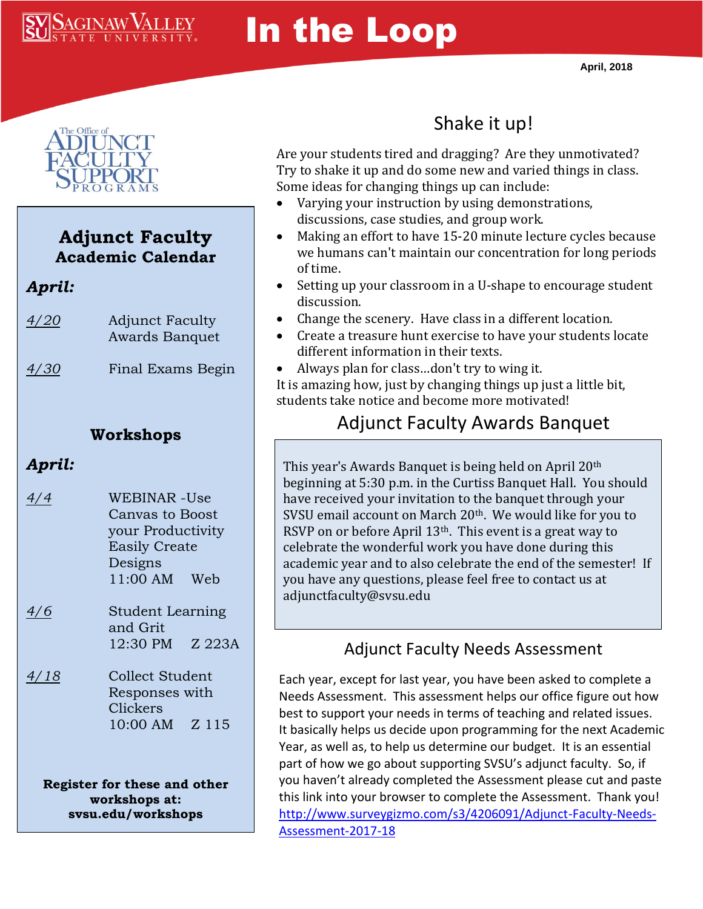

# In the Loop



#### **Adjunct Faculty Academic Calendar**

*April:*

| 4/20 | <b>Adjunct Faculty</b> |
|------|------------------------|
|      | Awards Banquet         |

*4/30* Final Exams Begin

#### **Workshops**

### *April:*

- *4/4* WEBINAR -Use Canvas to Boost your Productivity Easily Create Designs 11:00 AM Web
- *4/6* Student Learning and Grit 12:30 PM Z 223A
- *4/18* Collect Student Responses with Clickers 10:00 AM Z 115

**Register for these and other workshops at: svsu.edu/workshops**

# Shake it up!

Are your students tired and dragging? Are they unmotivated? Try to shake it up and do some new and varied things in class. Some ideas for changing things up can include:

- Varying your instruction by using demonstrations, discussions, case studies, and group work.
- Making an effort to have 15-20 minute lecture cycles because we humans can't maintain our concentration for long periods of time.
- Setting up your classroom in a U-shape to encourage student discussion.
- Change the scenery. Have class in a different location.
- Create a treasure hunt exercise to have your students locate different information in their texts.
- Always plan for class…don't try to wing it. It is amazing how, just by changing things up just a little bit, students take notice and become more motivated!

## Adjunct Faculty Awards Banquet

This year's Awards Banquet is being held on April 20th beginning at 5:30 p.m. in the Curtiss Banquet Hall. You should have received your invitation to the banquet through your SVSU email account on March 20<sup>th</sup>. We would like for you to RSVP on or before April 13<sup>th</sup>. This event is a great way to celebrate the wonderful work you have done during this academic year and to also celebrate the end of the semester! If you have any questions, please feel free to contact us at adjunctfaculty@svsu.edu

## Adjunct Faculty Needs Assessment

Each year, except for last year, you have been asked to complete a Needs Assessment. This assessment helps our office figure out how best to support your needs in terms of teaching and related issues. It basically helps us decide upon programming for the next Academic Year, as well as, to help us determine our budget. It is an essential part of how we go about supporting SVSU's adjunct faculty. So, if you haven't already completed the Assessment please cut and paste this link into your browser to complete the Assessment. Thank you! [http://www.surveygizmo.com/s3/4206091/Adjunct-Faculty-Needs-](http://www.surveygizmo.com/s3/4206091/Adjunct-Faculty-Needs-Assessment-2017-18)[Assessment-2017-18](http://www.surveygizmo.com/s3/4206091/Adjunct-Faculty-Needs-Assessment-2017-18)